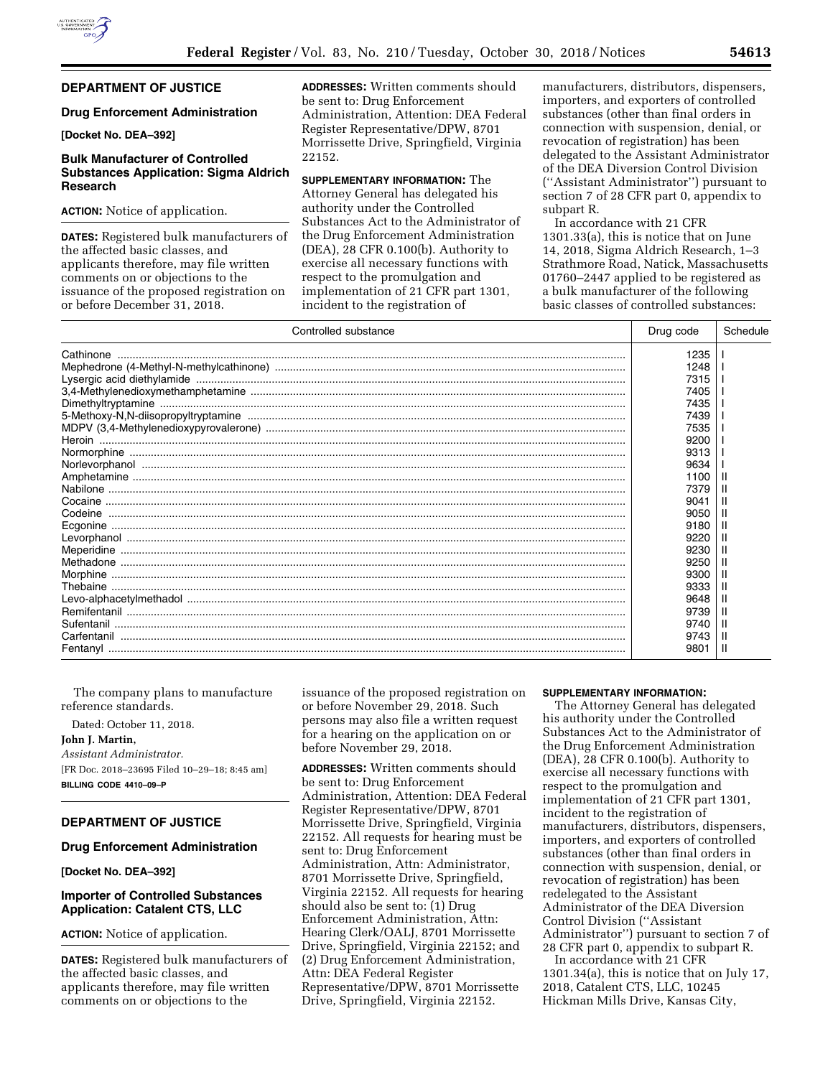# **DEPARTMENT OF JUSTICE**

## **Drug Enforcement Administration**

**[Docket No. DEA–392]** 

# **Bulk Manufacturer of Controlled Substances Application: Sigma Aldrich Research**

## **ACTION:** Notice of application.

**DATES:** Registered bulk manufacturers of the affected basic classes, and applicants therefore, may file written comments on or objections to the issuance of the proposed registration on or before December 31, 2018.

**ADDRESSES:** Written comments should be sent to: Drug Enforcement Administration, Attention: DEA Federal Register Representative/DPW, 8701 Morrissette Drive, Springfield, Virginia 22152.

**SUPPLEMENTARY INFORMATION:** The Attorney General has delegated his authority under the Controlled Substances Act to the Administrator of the Drug Enforcement Administration (DEA), 28 CFR 0.100(b). Authority to exercise all necessary functions with respect to the promulgation and implementation of 21 CFR part 1301, incident to the registration of

manufacturers, distributors, dispensers, importers, and exporters of controlled substances (other than final orders in connection with suspension, denial, or revocation of registration) has been delegated to the Assistant Administrator of the DEA Diversion Control Division (''Assistant Administrator'') pursuant to section 7 of 28 CFR part 0, appendix to subpart R.

In accordance with 21 CFR 1301.33(a), this is notice that on June 14, 2018, Sigma Aldrich Research, 1–3 Strathmore Road, Natick, Massachusetts 01760–2447 applied to be registered as a bulk manufacturer of the following basic classes of controlled substances:

| Controlled substance                                                                                                                                                                                                                                                                                                                                                                                                                                                                                                                 | Drug code | Schedule |
|--------------------------------------------------------------------------------------------------------------------------------------------------------------------------------------------------------------------------------------------------------------------------------------------------------------------------------------------------------------------------------------------------------------------------------------------------------------------------------------------------------------------------------------|-----------|----------|
|                                                                                                                                                                                                                                                                                                                                                                                                                                                                                                                                      | 1235      |          |
|                                                                                                                                                                                                                                                                                                                                                                                                                                                                                                                                      | 1248      |          |
|                                                                                                                                                                                                                                                                                                                                                                                                                                                                                                                                      | 7315      |          |
|                                                                                                                                                                                                                                                                                                                                                                                                                                                                                                                                      | 7405      |          |
|                                                                                                                                                                                                                                                                                                                                                                                                                                                                                                                                      | 7435      |          |
|                                                                                                                                                                                                                                                                                                                                                                                                                                                                                                                                      | 7439      |          |
|                                                                                                                                                                                                                                                                                                                                                                                                                                                                                                                                      | 7535      |          |
|                                                                                                                                                                                                                                                                                                                                                                                                                                                                                                                                      | 9200      |          |
|                                                                                                                                                                                                                                                                                                                                                                                                                                                                                                                                      | 9313      |          |
|                                                                                                                                                                                                                                                                                                                                                                                                                                                                                                                                      | 9634      |          |
|                                                                                                                                                                                                                                                                                                                                                                                                                                                                                                                                      | 1100      |          |
|                                                                                                                                                                                                                                                                                                                                                                                                                                                                                                                                      | 7379      |          |
| $\begin{minipage}{.4\linewidth} \textbf{Cocaine} \end{minipage} \begin{minipage}{.4\linewidth} \textbf{Cocaine} \end{minipage} \begin{minipage}{.4\linewidth} \textbf{Cocaine} \end{minipage} \begin{minipage}{.4\linewidth} \textbf{Cocaine} \end{minipage} \begin{minipage}{.4\linewidth} \textbf{Cocaine} \end{minipage} \begin{minipage}{.4\linewidth} \textbf{Cocaine} \end{minipage} \begin{minipage}{.4\linewidth} \textbf{Cocaine} \end{minipage} \begin{minipage}{.4\linewidth} \textbf{Cocaine} \end{minipage} \begin{min$ | 9041      |          |
|                                                                                                                                                                                                                                                                                                                                                                                                                                                                                                                                      | 9050      |          |
|                                                                                                                                                                                                                                                                                                                                                                                                                                                                                                                                      | 9180      |          |
|                                                                                                                                                                                                                                                                                                                                                                                                                                                                                                                                      | 9220      |          |
|                                                                                                                                                                                                                                                                                                                                                                                                                                                                                                                                      | 9230      |          |
|                                                                                                                                                                                                                                                                                                                                                                                                                                                                                                                                      | 9250      |          |
|                                                                                                                                                                                                                                                                                                                                                                                                                                                                                                                                      | 9300      |          |
|                                                                                                                                                                                                                                                                                                                                                                                                                                                                                                                                      | 9333      |          |
|                                                                                                                                                                                                                                                                                                                                                                                                                                                                                                                                      | 9648      |          |
|                                                                                                                                                                                                                                                                                                                                                                                                                                                                                                                                      | 9739      |          |
|                                                                                                                                                                                                                                                                                                                                                                                                                                                                                                                                      | 9740      |          |
|                                                                                                                                                                                                                                                                                                                                                                                                                                                                                                                                      | 9743      |          |
|                                                                                                                                                                                                                                                                                                                                                                                                                                                                                                                                      | 9801      |          |

The company plans to manufacture reference standards. Dated: October 11, 2018. **John J. Martin,**  *Assistant Administrator.*  [FR Doc. 2018–23695 Filed 10–29–18; 8:45 am] **BILLING CODE 4410–09–P** 

# **DEPARTMENT OF JUSTICE**

## **Drug Enforcement Administration**

**[Docket No. DEA–392]** 

# **Importer of Controlled Substances Application: Catalent CTS, LLC**

# **ACTION:** Notice of application.

**DATES:** Registered bulk manufacturers of the affected basic classes, and applicants therefore, may file written comments on or objections to the

issuance of the proposed registration on or before November 29, 2018. Such persons may also file a written request for a hearing on the application on or before November 29, 2018.

**ADDRESSES:** Written comments should be sent to: Drug Enforcement Administration, Attention: DEA Federal Register Representative/DPW, 8701 Morrissette Drive, Springfield, Virginia 22152. All requests for hearing must be sent to: Drug Enforcement Administration, Attn: Administrator, 8701 Morrissette Drive, Springfield, Virginia 22152. All requests for hearing should also be sent to: (1) Drug Enforcement Administration, Attn: Hearing Clerk/OALJ, 8701 Morrissette Drive, Springfield, Virginia 22152; and (2) Drug Enforcement Administration, Attn: DEA Federal Register Representative/DPW, 8701 Morrissette Drive, Springfield, Virginia 22152.

#### **SUPPLEMENTARY INFORMATION:**

The Attorney General has delegated his authority under the Controlled Substances Act to the Administrator of the Drug Enforcement Administration (DEA), 28 CFR 0.100(b). Authority to exercise all necessary functions with respect to the promulgation and implementation of 21 CFR part 1301, incident to the registration of manufacturers, distributors, dispensers, importers, and exporters of controlled substances (other than final orders in connection with suspension, denial, or revocation of registration) has been redelegated to the Assistant Administrator of the DEA Diversion Control Division (''Assistant Administrator'') pursuant to section 7 of 28 CFR part 0, appendix to subpart R. In accordance with 21 CFR

1301.34(a), this is notice that on July 17, 2018, Catalent CTS, LLC, 10245 Hickman Mills Drive, Kansas City,